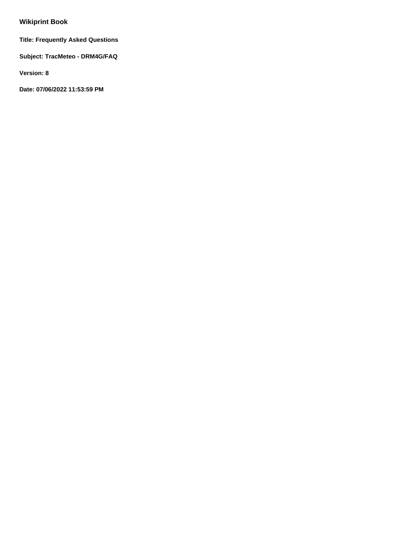# **Wikiprint Book**

**Title: Frequently Asked Questions**

**Subject: TracMeteo - DRM4G/FAQ**

**Version: 8**

**Date: 07/06/2022 11:53:59 PM**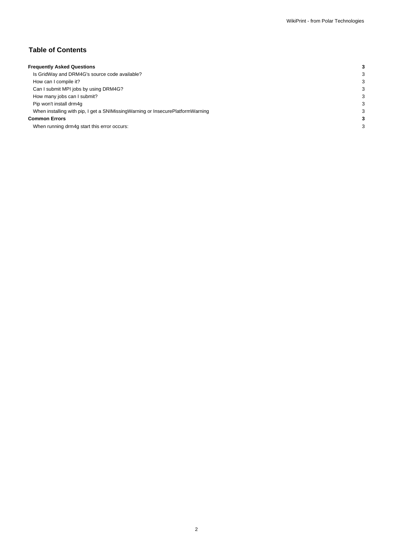# **Table of Contents**

| <b>Frequently Asked Questions</b>                                                 |  |
|-----------------------------------------------------------------------------------|--|
| Is GridWay and DRM4G's source code available?                                     |  |
| How can I compile it?                                                             |  |
| Can I submit MPI jobs by using DRM4G?                                             |  |
| How many jobs can I submit?                                                       |  |
| Pip won't install drm4q                                                           |  |
| When installing with pip, I get a SNIMissing Warning or Insecure Platform Warning |  |
| <b>Common Errors</b>                                                              |  |
| When running drm4g start this error occurs:                                       |  |
|                                                                                   |  |